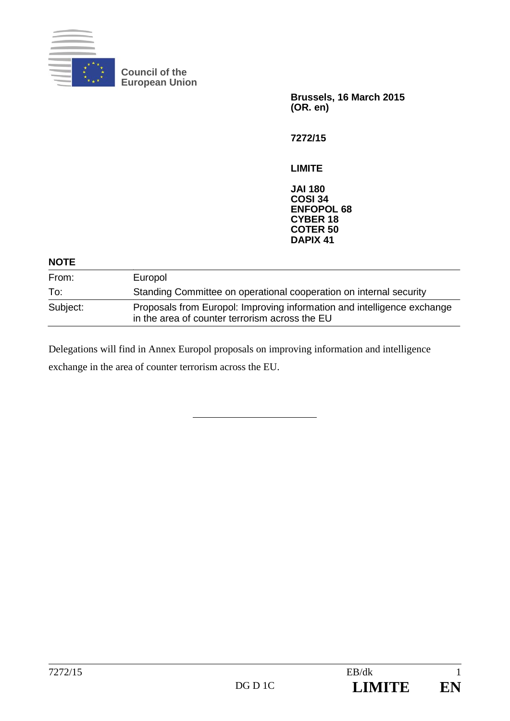

**Council of the European Union** 

> **Brussels, 16 March 2015 (OR. en)**

**7272/15** 

**LIMITE** 

**JAI 180 COSI 34 ENFOPOL 68 CYBER 18 COTER 50 DAPIX 41**

| <b>NOTE</b> |                                                                                                                           |
|-------------|---------------------------------------------------------------------------------------------------------------------------|
| From:       | Europol                                                                                                                   |
| To:         | Standing Committee on operational cooperation on internal security                                                        |
| Subject:    | Proposals from Europol: Improving information and intelligence exchange<br>in the area of counter terrorism across the EU |

Delegations will find in Annex Europol proposals on improving information and intelligence exchange in the area of counter terrorism across the EU.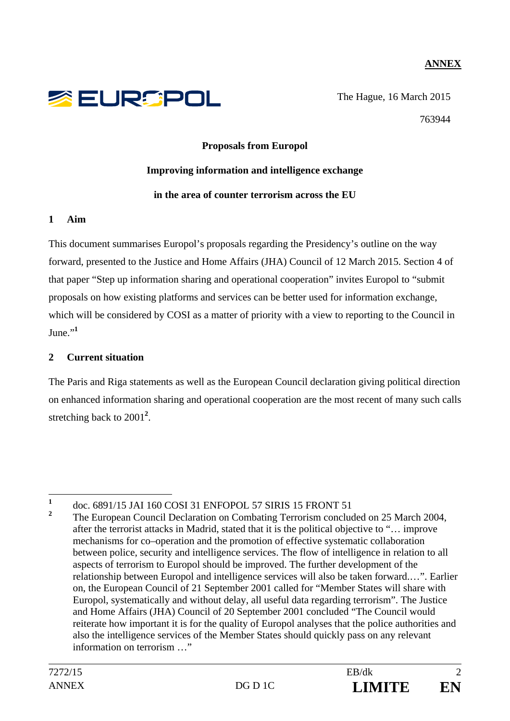# **ANNEX**



The Hague, 16 March 2015 763944

#### **Proposals from Europol**

#### **Improving information and intelligence exchange**

#### **in the area of counter terrorism across the EU**

### **1 Aim**

This document summarises Europol's proposals regarding the Presidency's outline on the way forward, presented to the Justice and Home Affairs (JHA) Council of 12 March 2015. Section 4 of that paper "Step up information sharing and operational cooperation" invites Europol to "submit proposals on how existing platforms and services can be better used for information exchange, which will be considered by COSI as a matter of priority with a view to reporting to the Council in  $_{\text{June}}$  $^{,1}$ 

### **2 Current situation**

The Paris and Riga statements as well as the European Council declaration giving political direction on enhanced information sharing and operational cooperation are the most recent of many such calls stretching back to 2001<sup>2</sup>.

 **1** doc. 6891/15 JAI 160 COSI 31 ENFOPOL 57 SIRIS 15 FRONT 51

**<sup>2</sup>** The European Council Declaration on Combating Terrorism concluded on 25 March 2004, after the terrorist attacks in Madrid, stated that it is the political objective to "… improve mechanisms for co–operation and the promotion of effective systematic collaboration between police, security and intelligence services. The flow of intelligence in relation to all aspects of terrorism to Europol should be improved. The further development of the relationship between Europol and intelligence services will also be taken forward.…". Earlier on, the European Council of 21 September 2001 called for "Member States will share with Europol, systematically and without delay, all useful data regarding terrorism". The Justice and Home Affairs (JHA) Council of 20 September 2001 concluded "The Council would reiterate how important it is for the quality of Europol analyses that the police authorities and also the intelligence services of the Member States should quickly pass on any relevant information on terrorism  $\cdots$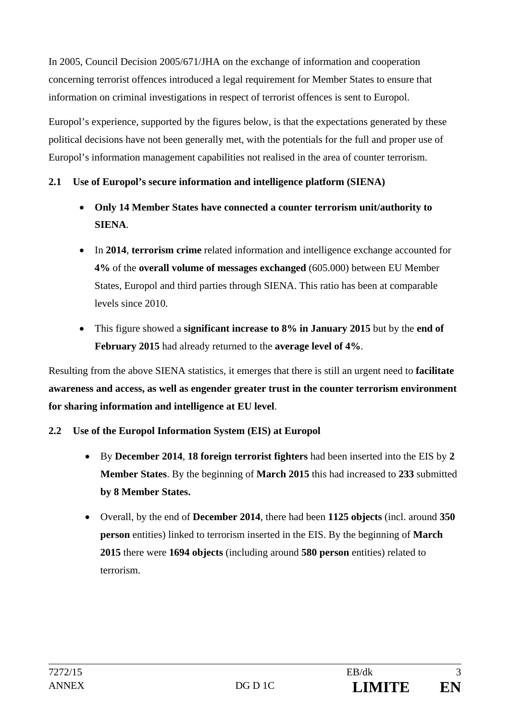In 2005, Council Decision 2005/671/JHA on the exchange of information and cooperation concerning terrorist offences introduced a legal requirement for Member States to ensure that information on criminal investigations in respect of terrorist offences is sent to Europol.

Europol's experience, supported by the figures below, is that the expectations generated by these political decisions have not been generally met, with the potentials for the full and proper use of Europol's information management capabilities not realised in the area of counter terrorism.

### **2.1 Use of Europol's secure information and intelligence platform (SIENA)**

- **Only 14 Member States have connected a counter terrorism unit/authority to SIENA**.
- In **2014**, **terrorism crime** related information and intelligence exchange accounted for **4%** of the **overall volume of messages exchanged** (605.000) between EU Member States, Europol and third parties through SIENA. This ratio has been at comparable levels since 2010.
- This figure showed a **significant increase to 8% in January 2015** but by the **end of February 2015** had already returned to the **average level of 4%**.

Resulting from the above SIENA statistics, it emerges that there is still an urgent need to **facilitate awareness and access, as well as engender greater trust in the counter terrorism environment for sharing information and intelligence at EU level**.

- **2.2 Use of the Europol Information System (EIS) at Europol** 
	- By **December 2014**, **18 foreign terrorist fighters** had been inserted into the EIS by **2 Member States**. By the beginning of **March 2015** this had increased to **233** submitted **by 8 Member States.**
	- Overall, by the end of **December 2014**, there had been **1125 objects** (incl. around **350 person** entities) linked to terrorism inserted in the EIS. By the beginning of **March 2015** there were **1694 objects** (including around **580 person** entities) related to terrorism.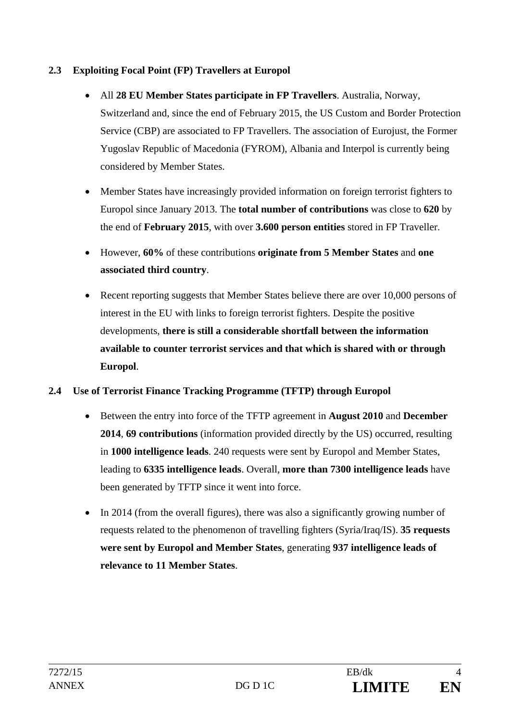# **2.3 Exploiting Focal Point (FP) Travellers at Europol**

- All **28 EU Member States participate in FP Travellers**. Australia, Norway, Switzerland and, since the end of February 2015, the US Custom and Border Protection Service (CBP) are associated to FP Travellers. The association of Eurojust, the Former Yugoslav Republic of Macedonia (FYROM), Albania and Interpol is currently being considered by Member States.
- Member States have increasingly provided information on foreign terrorist fighters to Europol since January 2013. The **total number of contributions** was close to **620** by the end of **February 2015**, with over **3.600 person entities** stored in FP Traveller.
- However, **60%** of these contributions **originate from 5 Member States** and **one associated third country**.
- Recent reporting suggests that Member States believe there are over 10,000 persons of interest in the EU with links to foreign terrorist fighters. Despite the positive developments, **there is still a considerable shortfall between the information available to counter terrorist services and that which is shared with or through Europol**.
- **2.4 Use of Terrorist Finance Tracking Programme (TFTP) through Europol** 
	- Between the entry into force of the TFTP agreement in **August 2010** and **December 2014**, **69 contributions** (information provided directly by the US) occurred, resulting in **1000 intelligence leads**. 240 requests were sent by Europol and Member States, leading to **6335 intelligence leads**. Overall, **more than 7300 intelligence leads** have been generated by TFTP since it went into force.
	- In 2014 (from the overall figures), there was also a significantly growing number of requests related to the phenomenon of travelling fighters (Syria/Iraq/IS). **35 requests were sent by Europol and Member States**, generating **937 intelligence leads of relevance to 11 Member States**.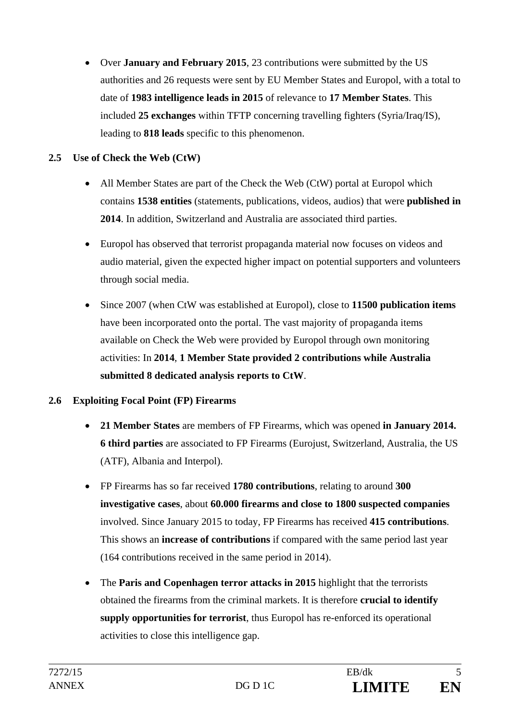Over **January and February 2015**, 23 contributions were submitted by the US authorities and 26 requests were sent by EU Member States and Europol, with a total to date of **1983 intelligence leads in 2015** of relevance to **17 Member States**. This included **25 exchanges** within TFTP concerning travelling fighters (Syria/Iraq/IS), leading to **818 leads** specific to this phenomenon.

# **2.5 Use of Check the Web (CtW)**

- All Member States are part of the Check the Web (CtW) portal at Europol which contains **1538 entities** (statements, publications, videos, audios) that were **published in 2014**. In addition, Switzerland and Australia are associated third parties.
- Europol has observed that terrorist propaganda material now focuses on videos and audio material, given the expected higher impact on potential supporters and volunteers through social media.
- Since 2007 (when CtW was established at Europol), close to **11500 publication items** have been incorporated onto the portal. The vast majority of propaganda items available on Check the Web were provided by Europol through own monitoring activities: In **2014**, **1 Member State provided 2 contributions while Australia submitted 8 dedicated analysis reports to CtW**.

### **2.6 Exploiting Focal Point (FP) Firearms**

- **21 Member States** are members of FP Firearms, which was opened **in January 2014. 6 third parties** are associated to FP Firearms (Eurojust, Switzerland, Australia, the US (ATF), Albania and Interpol).
- FP Firearms has so far received **1780 contributions**, relating to around **300 investigative cases**, about **60.000 firearms and close to 1800 suspected companies** involved. Since January 2015 to today, FP Firearms has received **415 contributions**. This shows an **increase of contributions** if compared with the same period last year (164 contributions received in the same period in 2014).
- The **Paris and Copenhagen terror attacks in 2015** highlight that the terrorists obtained the firearms from the criminal markets. It is therefore **crucial to identify supply opportunities for terrorist**, thus Europol has re-enforced its operational activities to close this intelligence gap.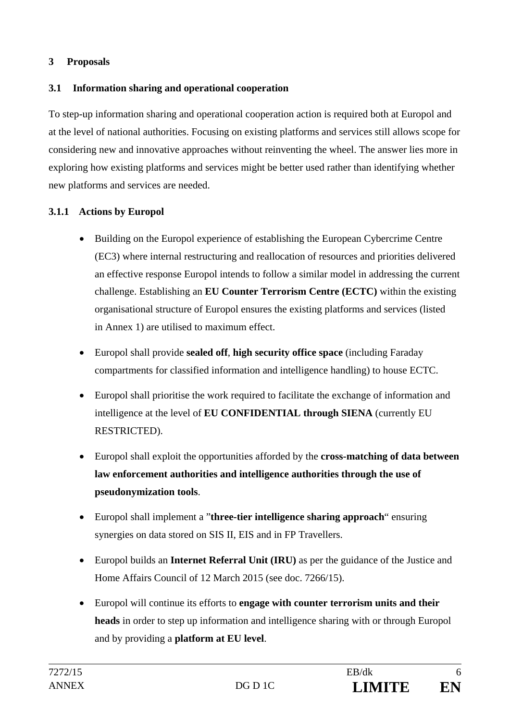# **3 Proposals**

# **3.1 Information sharing and operational cooperation**

To step-up information sharing and operational cooperation action is required both at Europol and at the level of national authorities. Focusing on existing platforms and services still allows scope for considering new and innovative approaches without reinventing the wheel. The answer lies more in exploring how existing platforms and services might be better used rather than identifying whether new platforms and services are needed.

### **3.1.1 Actions by Europol**

- Building on the Europol experience of establishing the European Cybercrime Centre (EC3) where internal restructuring and reallocation of resources and priorities delivered an effective response Europol intends to follow a similar model in addressing the current challenge. Establishing an **EU Counter Terrorism Centre (ECTC)** within the existing organisational structure of Europol ensures the existing platforms and services (listed in Annex 1) are utilised to maximum effect.
- Europol shall provide **sealed off**, **high security office space** (including Faraday compartments for classified information and intelligence handling) to house ECTC.
- Europol shall prioritise the work required to facilitate the exchange of information and intelligence at the level of **EU CONFIDENTIAL through SIENA** (currently EU RESTRICTED).
- Europol shall exploit the opportunities afforded by the **cross-matching of data between law enforcement authorities and intelligence authorities through the use of pseudonymization tools**.
- Europol shall implement a "**three-tier intelligence sharing approach**" ensuring synergies on data stored on SIS II, EIS and in FP Travellers.
- Europol builds an **Internet Referral Unit (IRU)** as per the guidance of the Justice and Home Affairs Council of 12 March 2015 (see doc. 7266/15).
- Europol will continue its efforts to **engage with counter terrorism units and their heads** in order to step up information and intelligence sharing with or through Europol and by providing a **platform at EU level**.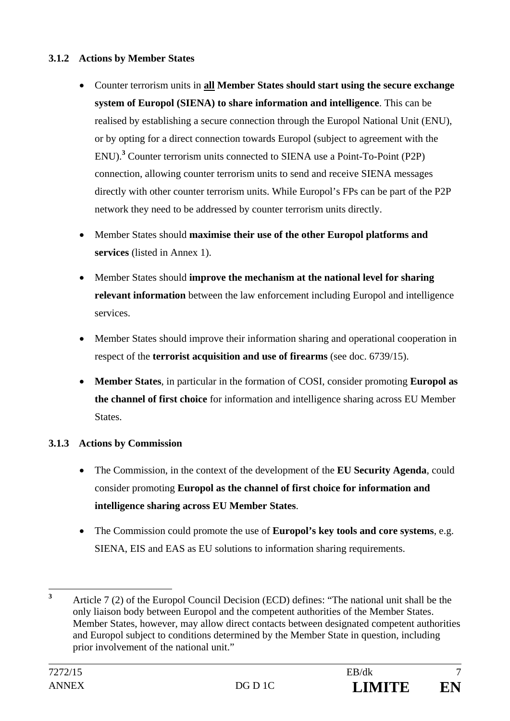### **3.1.2 Actions by Member States**

- Counter terrorism units in **all Member States should start using the secure exchange system of Europol (SIENA) to share information and intelligence**. This can be realised by establishing a secure connection through the Europol National Unit (ENU), or by opting for a direct connection towards Europol (subject to agreement with the ENU).**<sup>3</sup>** Counter terrorism units connected to SIENA use a Point-To-Point (P2P) connection, allowing counter terrorism units to send and receive SIENA messages directly with other counter terrorism units. While Europol's FPs can be part of the P2P network they need to be addressed by counter terrorism units directly.
- Member States should **maximise their use of the other Europol platforms and services** (listed in Annex 1).
- Member States should **improve the mechanism at the national level for sharing relevant information** between the law enforcement including Europol and intelligence services.
- Member States should improve their information sharing and operational cooperation in respect of the **terrorist acquisition and use of firearms** (see doc. 6739/15).
- **Member States**, in particular in the formation of COSI, consider promoting **Europol as the channel of first choice** for information and intelligence sharing across EU Member States.

# **3.1.3 Actions by Commission**

- The Commission, in the context of the development of the **EU Security Agenda**, could consider promoting **Europol as the channel of first choice for information and intelligence sharing across EU Member States**.
- The Commission could promote the use of **Europol's key tools and core systems**, e.g. SIENA, EIS and EAS as EU solutions to information sharing requirements.

 **3** Article 7 (2) of the Europol Council Decision (ECD) defines: "The national unit shall be the only liaison body between Europol and the competent authorities of the Member States. Member States, however, may allow direct contacts between designated competent authorities and Europol subject to conditions determined by the Member State in question, including prior involvement of the national unit."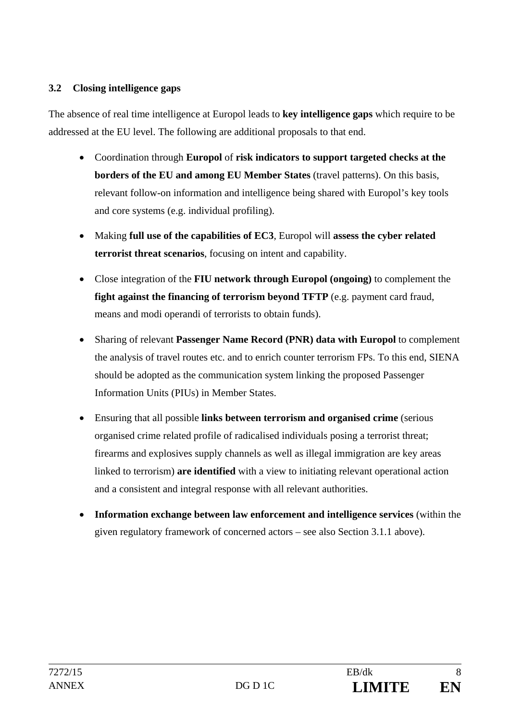### **3.2 Closing intelligence gaps**

The absence of real time intelligence at Europol leads to **key intelligence gaps** which require to be addressed at the EU level. The following are additional proposals to that end.

- Coordination through **Europol** of **risk indicators to support targeted checks at the borders of the EU and among EU Member States** (travel patterns). On this basis, relevant follow-on information and intelligence being shared with Europol's key tools and core systems (e.g. individual profiling).
- Making **full use of the capabilities of EC3**, Europol will **assess the cyber related terrorist threat scenarios**, focusing on intent and capability.
- Close integration of the **FIU network through Europol (ongoing)** to complement the **fight against the financing of terrorism beyond TFTP** (e.g. payment card fraud, means and modi operandi of terrorists to obtain funds).
- Sharing of relevant **Passenger Name Record (PNR) data with Europol** to complement the analysis of travel routes etc. and to enrich counter terrorism FPs. To this end, SIENA should be adopted as the communication system linking the proposed Passenger Information Units (PIUs) in Member States.
- Ensuring that all possible **links between terrorism and organised crime** (serious organised crime related profile of radicalised individuals posing a terrorist threat; firearms and explosives supply channels as well as illegal immigration are key areas linked to terrorism) **are identified** with a view to initiating relevant operational action and a consistent and integral response with all relevant authorities.
- **Information exchange between law enforcement and intelligence services** (within the given regulatory framework of concerned actors – see also Section 3.1.1 above).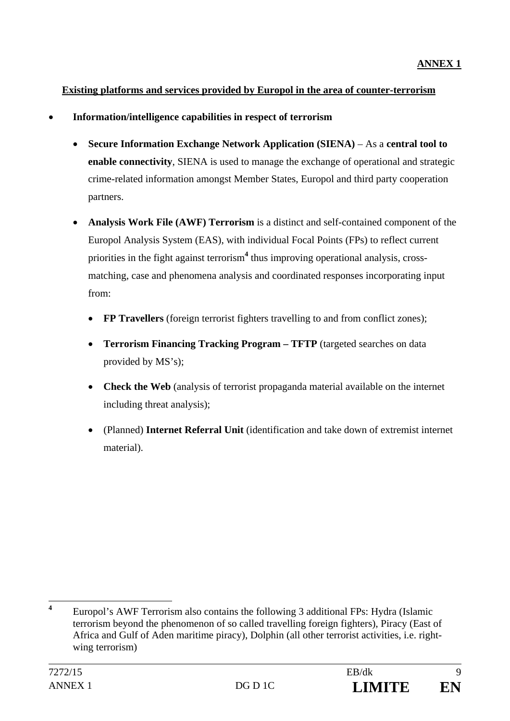# **Existing platforms and services provided by Europol in the area of counter-terrorism**

- **Information/intelligence capabilities in respect of terrorism** 
	- **Secure Information Exchange Network Application (SIENA)** As a **central tool to enable connectivity**, SIENA is used to manage the exchange of operational and strategic crime-related information amongst Member States, Europol and third party cooperation partners.
	- **Analysis Work File (AWF) Terrorism** is a distinct and self-contained component of the Europol Analysis System (EAS), with individual Focal Points (FPs) to reflect current priorities in the fight against terrorism**<sup>4</sup>** thus improving operational analysis, crossmatching, case and phenomena analysis and coordinated responses incorporating input from:
		- **FP Travellers** (foreign terrorist fighters travelling to and from conflict zones);
		- **Terrorism Financing Tracking Program TFTP** (targeted searches on data provided by MS's);
		- **Check the Web** (analysis of terrorist propaganda material available on the internet including threat analysis);
		- (Planned) **Internet Referral Unit** (identification and take down of extremist internet material).

 **4** Europol's AWF Terrorism also contains the following 3 additional FPs: Hydra (Islamic terrorism beyond the phenomenon of so called travelling foreign fighters), Piracy (East of Africa and Gulf of Aden maritime piracy), Dolphin (all other terrorist activities, i.e. rightwing terrorism)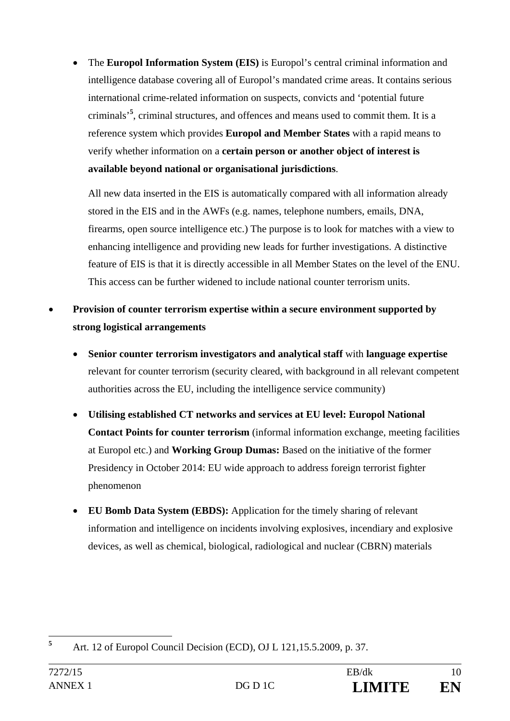The **Europol Information System (EIS)** is Europol's central criminal information and intelligence database covering all of Europol's mandated crime areas. It contains serious international crime-related information on suspects, convicts and 'potential future criminals'**<sup>5</sup>** , criminal structures, and offences and means used to commit them. It is a reference system which provides **Europol and Member States** with a rapid means to verify whether information on a **certain person or another object of interest is available beyond national or organisational jurisdictions**.

All new data inserted in the EIS is automatically compared with all information already stored in the EIS and in the AWFs (e.g. names, telephone numbers, emails, DNA, firearms, open source intelligence etc.) The purpose is to look for matches with a view to enhancing intelligence and providing new leads for further investigations. A distinctive feature of EIS is that it is directly accessible in all Member States on the level of the ENU. This access can be further widened to include national counter terrorism units.

- **Provision of counter terrorism expertise within a secure environment supported by strong logistical arrangements** 
	- **Senior counter terrorism investigators and analytical staff** with **language expertise** relevant for counter terrorism (security cleared, with background in all relevant competent authorities across the EU, including the intelligence service community)
	- **Utilising established CT networks and services at EU level: Europol National Contact Points for counter terrorism** (informal information exchange, meeting facilities at Europol etc.) and **Working Group Dumas:** Based on the initiative of the former Presidency in October 2014: EU wide approach to address foreign terrorist fighter phenomenon
	- **EU Bomb Data System (EBDS):** Application for the timely sharing of relevant information and intelligence on incidents involving explosives, incendiary and explosive devices, as well as chemical, biological, radiological and nuclear (CBRN) materials

 **5** Art. 12 of Europol Council Decision (ECD), OJ L 121,15.5.2009, p. 37.